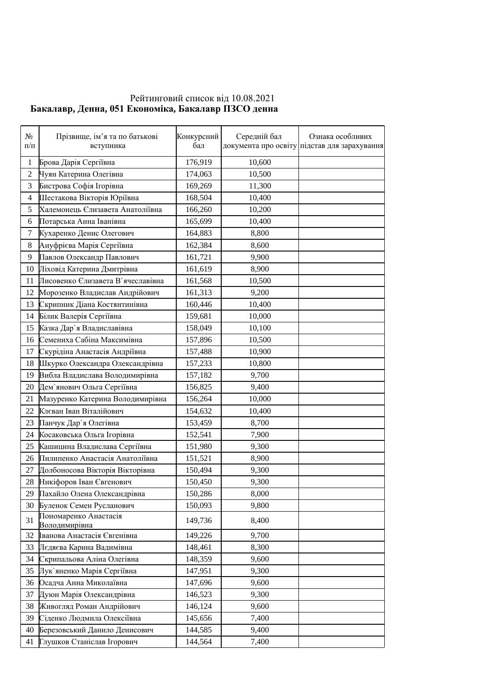## Рейтинговий список від 10.08.2021 **Бакалавр, Денна, 051 Економіка, Бакалавр ПЗСО денна**

| $N_2$<br>$\Pi/\Pi$ | Прізвище, ім'я та по батькові<br>вступника | Конкурсний<br>бал | Середній бал | Ознака особливих<br>документа про освіту підстав для зарахування |
|--------------------|--------------------------------------------|-------------------|--------------|------------------------------------------------------------------|
| $\mathbf{1}$       | Брова Дарія Сергіївна                      | 176,919           | 10,600       |                                                                  |
| $\overline{2}$     | Чуян Катерина Олегівна                     | 174,063           | 10,500       |                                                                  |
| 3                  | Бистрова Софія Ігорівна                    | 169,269           | 11,300       |                                                                  |
| $\overline{4}$     | Шестакова Вікторія Юріївна                 | 168,504           | 10,400       |                                                                  |
| 5                  | Халемонець Єлизавета Анатоліївна           | 166,260           | 10,200       |                                                                  |
| 6                  | Потарська Анна Іванівна                    | 165,699           | 10,400       |                                                                  |
| 7                  | Кухаренко Денис Олегович                   | 164,883           | 8,800        |                                                                  |
| 8                  | Ануфрієва Марія Сергіївна                  | 162,384           | 8,600        |                                                                  |
| 9                  | Павлов Олександр Павлович                  | 161,721           | 9,900        |                                                                  |
| 10                 | Ліховід Катерина Дмитрівна                 | 161,619           | 8,900        |                                                                  |
| 11                 | Лисовенко Єлизавета В'ячеславівна          | 161,568           | 10,500       |                                                                  |
| 12                 | Морозенко Владислав Андрійович             | 161,313           | 9,200        |                                                                  |
| 13                 | Скрипник Діана Костянтинівна               | 160,446           | 10,400       |                                                                  |
| 14                 | Білик Валерія Сергіївна                    | 159,681           | 10,000       |                                                                  |
| 15                 | Казка Дар'я Владиславівна                  | 158,049           | 10,100       |                                                                  |
| 16                 | Семениха Сабіна Максимівна                 | 157,896           | 10,500       |                                                                  |
| 17                 | Скурідіна Анастасія Андріївна              | 157,488           | 10,900       |                                                                  |
| 18                 | Шкурко Олександра Олександрівна            | 157,233           | 10,800       |                                                                  |
| 19                 | Вибла Владислава Володимирівна             | 157,182           | 9,700        |                                                                  |
| 20                 | Дем`янович Ольга Сергіївна                 | 156,825           | 9,400        |                                                                  |
| 21                 | Мазуренко Катерина Володимирівна           | 156,264           | 10,000       |                                                                  |
| 22                 | Клєван Іван Віталійович                    | 154,632           | 10,400       |                                                                  |
| 23                 | Панчук Дар'я Олегівна                      | 153,459           | 8,700        |                                                                  |
| 24                 | Косаковська Ольга Ігорівна                 | 152,541           | 7,900        |                                                                  |
| 25                 | Кашицина Владислава Сергіївна              | 151,980           | 9,300        |                                                                  |
| 26                 | Пилипенко Анастасія Анатоліївна            | 151,521           | 8,900        |                                                                  |
| 27                 | Долбоносова Вікторія Вікторівна            | 150,494           | 9,300        |                                                                  |
| 28                 | Никіфоров Іван Євгенович                   | 150,450           | 9,300        |                                                                  |
| 29                 | Пахайло Олена Олександрівна                | 150,286           | 8,000        |                                                                  |
| 30                 | Буленок Семен Русланович                   | 150,093           | 9,800        |                                                                  |
| 31                 | Пономаренко Анастасія<br>Володимирівна     | 149,736           | 8,400        |                                                                  |
| 32                 | Іванова Анастасія Євгенівна                | 149,226           | 9,700        |                                                                  |
| 33                 | Лєдяєва Карина Вадимівна                   | 148,461           | 8,300        |                                                                  |
| 34                 | Скрипальова Аліна Олегівна                 | 148,359           | 9,600        |                                                                  |
| 35                 | Лук`яненко Марія Сергіївна                 | 147,951           | 9,300        |                                                                  |
| 36                 | Осадча Анна Миколаївна                     | 147,696           | 9,600        |                                                                  |
| 37                 | Дуюн Марія Олександрівна                   | 146,523           | 9,300        |                                                                  |
| 38                 | Живогляд Роман Андрійович                  | 146,124           | 9,600        |                                                                  |
| 39                 | Сіденко Людмила Олексіївна                 | 145,656           | 7,400        |                                                                  |
| 40                 | Березовський Данило Денисович              | 144,585           | 9,400        |                                                                  |
| 41                 | Глушков Станіслав Ігорович                 | 144,564           | 7,400        |                                                                  |